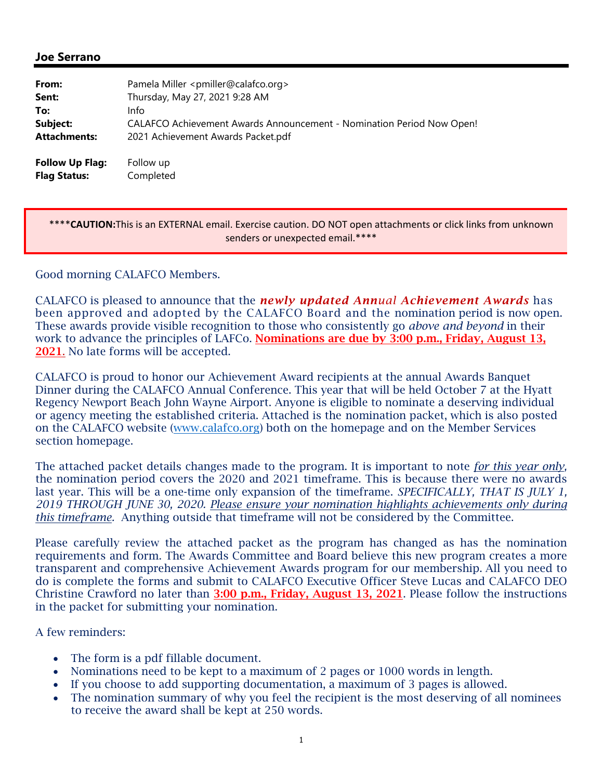## **Joe Serrano**

| From:                                         | Pamela Miller <pmiller@calafco.org></pmiller@calafco.org>             |
|-----------------------------------------------|-----------------------------------------------------------------------|
| Sent:                                         | Thursday, May 27, 2021 9:28 AM                                        |
| To:                                           | Info                                                                  |
| Subject:                                      | CALAFCO Achievement Awards Announcement - Nomination Period Now Open! |
| <b>Attachments:</b>                           | 2021 Achievement Awards Packet.pdf                                    |
| <b>Follow Up Flag:</b><br><b>Flag Status:</b> | Follow up<br>Completed                                                |

\*\*\*\***CAUTION:**This is an EXTERNAL email. Exercise caution. DO NOT open attachments or click links from unknown senders or unexpected email.\*\*\*\*

Good morning CALAFCO Members.

CALAFCO is pleased to announce that the *newly updated Annual Achievement Awards* has been approved and adopted by the CALAFCO Board and the nomination period is now open. These awards provide visible recognition to those who consistently go *above and beyond* in their work to advance the principles of LAFCo. **Nominations are due by 3:00 p.m., Friday, August 13,** 2021. No late forms will be accepted.

CALAFCO is proud to honor our Achievement Award recipients at the annual Awards Banquet Dinner during the CALAFCO Annual Conference. This year that will be held October 7 at the Hyatt Regency Newport Beach John Wayne Airport. Anyone is eligible to nominate a deserving individual or agency meeting the established criteria. Attached is the nomination packet, which is also posted on the CALAFCO website (www.calafco.org) both on the homepage and on the Member Services section homepage.

The attached packet details changes made to the program. It is important to note *for this year only,* the nomination period covers the 2020 and 2021 timeframe. This is because there were no awards last year. This will be a one-time only expansion of the timeframe. *SPECIFICALLY, THAT IS JULY 1, 2019 THROUGH JUNE 30, 2020. Please ensure your nomination highlights achievements only during this timeframe.* Anything outside that timeframe will not be considered by the Committee.

Please carefully review the attached packet as the program has changed as has the nomination requirements and form. The Awards Committee and Board believe this new program creates a more transparent and comprehensive Achievement Awards program for our membership. All you need to do is complete the forms and submit to CALAFCO Executive Officer Steve Lucas and CALAFCO DEO Christine Crawford no later than  $3:00$  p.m., Friday, August 13, 2021. Please follow the instructions in the packet for submitting your nomination.

A few reminders:

- The form is a pdf fillable document.
- Nominations need to be kept to a maximum of 2 pages or 1000 words in length.
- If you choose to add supporting documentation, a maximum of 3 pages is allowed.
- The nomination summary of why you feel the recipient is the most deserving of all nominees to receive the award shall be kept at 250 words.